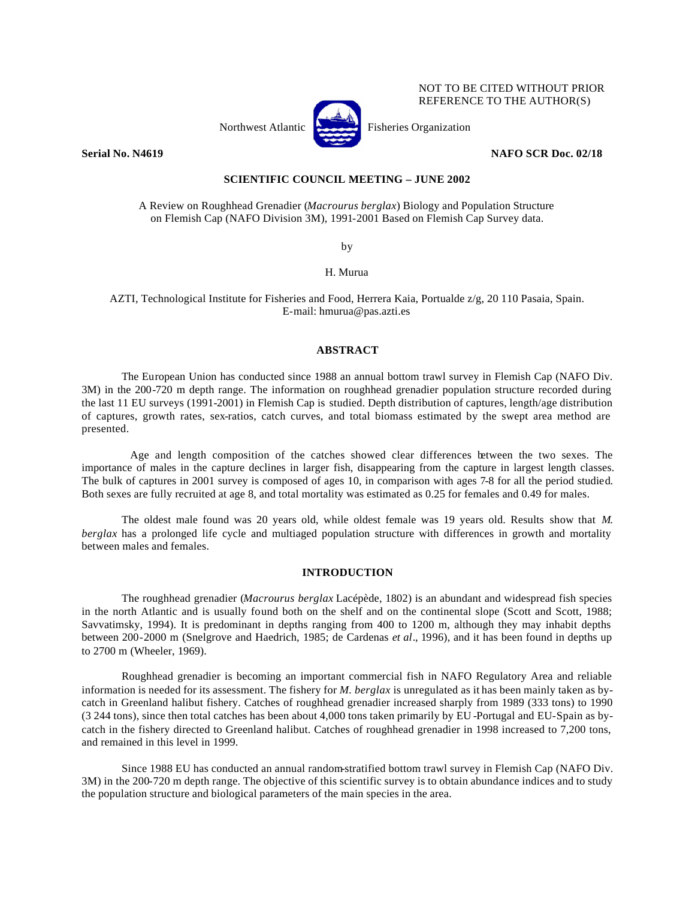

NOT TO BE CITED WITHOUT PRIOR REFERENCE TO THE AUTHOR(S)

## **Serial No. N4619 NAFO SCR Doc. 02/18**

# **SCIENTIFIC COUNCIL MEETING – JUNE 2002**

A Review on Roughhead Grenadier (*Macrourus berglax*) Biology and Population Structure on Flemish Cap (NAFO Division 3M), 1991-2001 Based on Flemish Cap Survey data.

by

H. Murua

AZTI, Technological Institute for Fisheries and Food, Herrera Kaia, Portualde z/g, 20 110 Pasaia, Spain. E-mail: hmurua@pas.azti.es

### **ABSTRACT**

The European Union has conducted since 1988 an annual bottom trawl survey in Flemish Cap (NAFO Div. 3M) in the 200-720 m depth range. The information on roughhead grenadier population structure recorded during the last 11 EU surveys (1991-2001) in Flemish Cap is studied. Depth distribution of captures, length/age distribution of captures, growth rates, sex-ratios, catch curves, and total biomass estimated by the swept area method are presented.

Age and length composition of the catches showed clear differences between the two sexes. The importance of males in the capture declines in larger fish, disappearing from the capture in largest length classes. The bulk of captures in 2001 survey is composed of ages 10, in comparison with ages 7-8 for all the period studied. Both sexes are fully recruited at age 8, and total mortality was estimated as 0.25 for females and 0.49 for males.

The oldest male found was 20 years old, while oldest female was 19 years old. Results show that *M. berglax* has a prolonged life cycle and multiaged population structure with differences in growth and mortality between males and females.

### **INTRODUCTION**

The roughhead grenadier (*Macrourus berglax* Lacépède, 1802) is an abundant and widespread fish species in the north Atlantic and is usually found both on the shelf and on the continental slope (Scott and Scott, 1988; Savvatimsky, 1994). It is predominant in depths ranging from 400 to 1200 m, although they may inhabit depths between 200-2000 m (Snelgrove and Haedrich, 1985; de Cardenas *et al*., 1996), and it has been found in depths up to 2700 m (Wheeler, 1969).

Roughhead grenadier is becoming an important commercial fish in NAFO Regulatory Area and reliable information is needed for its assessment. The fishery for *M. berglax* is unregulated as it has been mainly taken as bycatch in Greenland halibut fishery. Catches of roughhead grenadier increased sharply from 1989 (333 tons) to 1990 (3 244 tons), since then total catches has been about 4,000 tons taken primarily by EU -Portugal and EU-Spain as bycatch in the fishery directed to Greenland halibut. Catches of roughhead grenadier in 1998 increased to 7,200 tons, and remained in this level in 1999.

Since 1988 EU has conducted an annual random-stratified bottom trawl survey in Flemish Cap (NAFO Div. 3M) in the 200-720 m depth range. The objective of this scientific survey is to obtain abundance indices and to study the population structure and biological parameters of the main species in the area.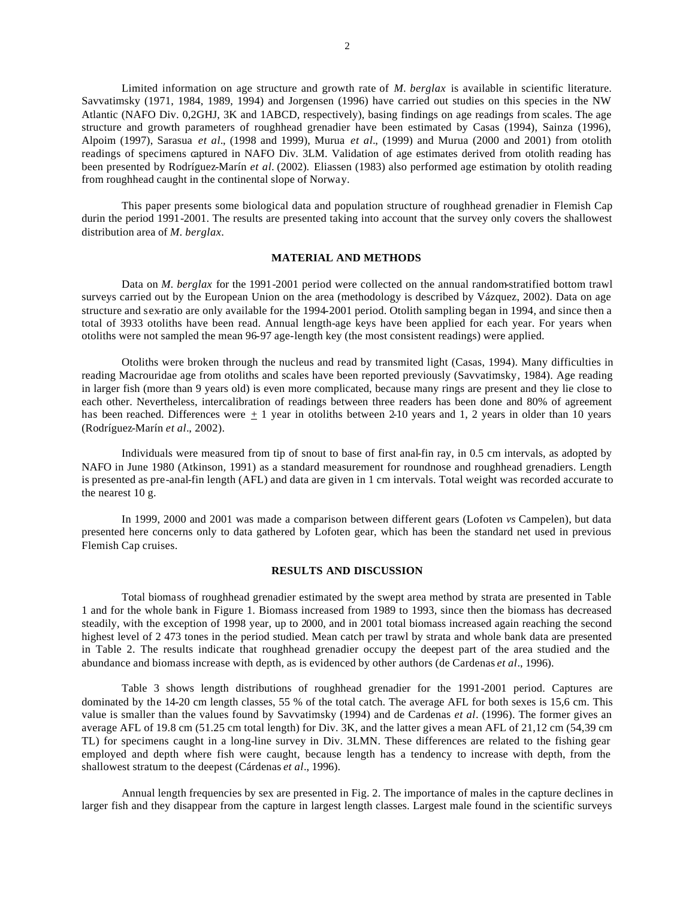Limited information on age structure and growth rate of *M. berglax* is available in scientific literature. Savvatimsky (1971, 1984, 1989, 1994) and Jorgensen (1996) have carried out studies on this species in the NW Atlantic (NAFO Div. 0,2GHJ, 3K and 1ABCD, respectively), basing findings on age readings from scales. The age structure and growth parameters of roughhead grenadier have been estimated by Casas (1994), Sainza (1996), Alpoim (1997), Sarasua *et al.*, (1998 and 1999), Murua *et al.*, (1999) and Murua (2000 and 2001) from otolith readings of specimens captured in NAFO Div. 3LM. Validation of age estimates derived from otolith reading has been presented by Rodríguez-Marín *et al.* (2002). Eliassen (1983) also performed age estimation by otolith reading from roughhead caught in the continental slope of Norway.

This paper presents some biological data and population structure of roughhead grenadier in Flemish Cap durin the period 1991-2001. The results are presented taking into account that the survey only covers the shallowest distribution area of *M. berglax*.

#### **MATERIAL AND METHODS**

Data on *M. berglax* for the 1991-2001 period were collected on the annual random-stratified bottom trawl surveys carried out by the European Union on the area (methodology is described by Vázquez, 2002). Data on age structure and sex-ratio are only available for the 1994-2001 period. Otolith sampling began in 1994, and since then a total of 3933 otoliths have been read. Annual length-age keys have been applied for each year. For years when otoliths were not sampled the mean 96-97 age-length key (the most consistent readings) were applied.

Otoliths were broken through the nucleus and read by transmited light (Casas, 1994). Many difficulties in reading Macrouridae age from otoliths and scales have been reported previously (Savvatimsky, 1984). Age reading in larger fish (more than 9 years old) is even more complicated, because many rings are present and they lie close to each other. Nevertheless, intercalibration of readings between three readers has been done and 80% of agreement has been reached. Differences were  $\pm 1$  year in otoliths between 2-10 years and 1, 2 years in older than 10 years (Rodríguez-Marín *et al.*, 2002).

Individuals were measured from tip of snout to base of first anal-fin ray, in 0.5 cm intervals, as adopted by NAFO in June 1980 (Atkinson, 1991) as a standard measurement for roundnose and roughhead grenadiers. Length is presented as pre-anal-fin length (AFL) and data are given in 1 cm intervals. Total weight was recorded accurate to the nearest 10 g.

In 1999, 2000 and 2001 was made a comparison between different gears (Lofoten *vs* Campelen), but data presented here concerns only to data gathered by Lofoten gear, which has been the standard net used in previous Flemish Cap cruises.

### **RESULTS AND DISCUSSION**

Total biomass of roughhead grenadier estimated by the swept area method by strata are presented in Table 1 and for the whole bank in Figure 1. Biomass increased from 1989 to 1993, since then the biomass has decreased steadily, with the exception of 1998 year, up to 2000, and in 2001 total biomass increased again reaching the second highest level of 2 473 tones in the period studied. Mean catch per trawl by strata and whole bank data are presented in Table 2. The results indicate that roughhead grenadier occupy the deepest part of the area studied and the abundance and biomass increase with depth, as is evidenced by other authors (de Cardenas *et al*., 1996).

Table 3 shows length distributions of roughhead grenadier for the 1991-2001 period. Captures are dominated by the 14-20 cm length classes, 55 % of the total catch. The average AFL for both sexes is 15,6 cm. This value is smaller than the values found by Savvatimsky (1994) and de Cardenas *et al*. (1996). The former gives an average AFL of 19.8 cm (51.25 cm total length) for Div. 3K, and the latter gives a mean AFL of 21,12 cm (54,39 cm TL) for specimens caught in a long-line survey in Div. 3LMN. These differences are related to the fishing gear employed and depth where fish were caught, because length has a tendency to increase with depth, from the shallowest stratum to the deepest (Cárdenas *et al*., 1996).

Annual length frequencies by sex are presented in Fig. 2. The importance of males in the capture declines in larger fish and they disappear from the capture in largest length classes. Largest male found in the scientific surveys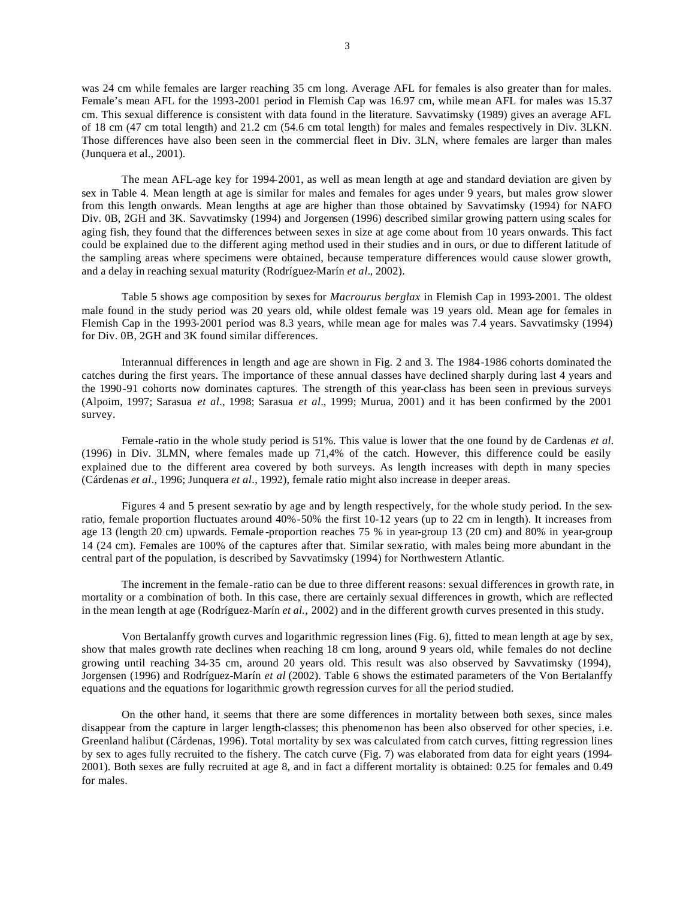was 24 cm while females are larger reaching 35 cm long. Average AFL for females is also greater than for males. Female's mean AFL for the 1993-2001 period in Flemish Cap was 16.97 cm, while mean AFL for males was 15.37 cm. This sexual difference is consistent with data found in the literature. Savvatimsky (1989) gives an average AFL of 18 cm (47 cm total length) and 21.2 cm (54.6 cm total length) for males and females respectively in Div. 3LKN. Those differences have also been seen in the commercial fleet in Div. 3LN, where females are larger than males (Junquera et al., 2001).

The mean AFL-age key for 1994-2001, as well as mean length at age and standard deviation are given by sex in Table 4. Mean length at age is similar for males and females for ages under 9 years, but males grow slower from this length onwards. Mean lengths at age are higher than those obtained by Savvatimsky (1994) for NAFO Div. 0B, 2GH and 3K. Savvatimsky (1994) and Jorgensen (1996) described similar growing pattern using scales for aging fish, they found that the differences between sexes in size at age come about from 10 years onwards. This fact could be explained due to the different aging method used in their studies and in ours, or due to different latitude of the sampling areas where specimens were obtained, because temperature differences would cause slower growth, and a delay in reaching sexual maturity (Rodríguez-Marín *et al.*, 2002).

Table 5 shows age composition by sexes for *Macrourus berglax* in Flemish Cap in 1993-2001. The oldest male found in the study period was 20 years old, while oldest female was 19 years old. Mean age for females in Flemish Cap in the 1993-2001 period was 8.3 years, while mean age for males was 7.4 years. Savvatimsky (1994) for Div. 0B, 2GH and 3K found similar differences.

Interannual differences in length and age are shown in Fig. 2 and 3. The 1984-1986 cohorts dominated the catches during the first years. The importance of these annual classes have declined sharply during last 4 years and the 1990-91 cohorts now dominates captures. The strength of this year-class has been seen in previous surveys (Alpoim, 1997; Sarasua *et al*., 1998; Sarasua *et al.*, 1999; Murua, 2001) and it has been confirmed by the 2001 survey.

Female -ratio in the whole study period is 51%. This value is lower that the one found by de Cardenas *et al*. (1996) in Div. 3LMN, where females made up 71,4% of the catch. However, this difference could be easily explained due to the different area covered by both surveys. As length increases with depth in many species (Cárdenas *et al*., 1996; Junquera *et al*., 1992), female ratio might also increase in deeper areas.

Figures 4 and 5 present sex-ratio by age and by length respectively, for the whole study period. In the sexratio, female proportion fluctuates around 40%-50% the first 10-12 years (up to 22 cm in length). It increases from age 13 (length 20 cm) upwards. Female -proportion reaches 75 % in year-group 13 (20 cm) and 80% in year-group 14 (24 cm). Females are 100% of the captures after that. Similar sex-ratio, with males being more abundant in the central part of the population, is described by Savvatimsky (1994) for Northwestern Atlantic.

The increment in the female-ratio can be due to three different reasons: sexual differences in growth rate, in mortality or a combination of both. In this case, there are certainly sexual differences in growth, which are reflected in the mean length at age (Rodríguez-Marín *et al.,* 2002) and in the different growth curves presented in this study.

Von Bertalanffy growth curves and logarithmic regression lines (Fig. 6), fitted to mean length at age by sex, show that males growth rate declines when reaching 18 cm long, around 9 years old, while females do not decline growing until reaching 34-35 cm, around 20 years old. This result was also observed by Savvatimsky (1994), Jorgensen (1996) and Rodríguez-Marín *et al* (2002). Table 6 shows the estimated parameters of the Von Bertalanffy equations and the equations for logarithmic growth regression curves for all the period studied.

On the other hand, it seems that there are some differences in mortality between both sexes, since males disappear from the capture in larger length-classes; this phenomenon has been also observed for other species, i.e. Greenland halibut (Cárdenas, 1996). Total mortality by sex was calculated from catch curves, fitting regression lines by sex to ages fully recruited to the fishery. The catch curve (Fig. 7) was elaborated from data for eight years (1994- 2001). Both sexes are fully recruited at age 8, and in fact a different mortality is obtained: 0.25 for females and 0.49 for males.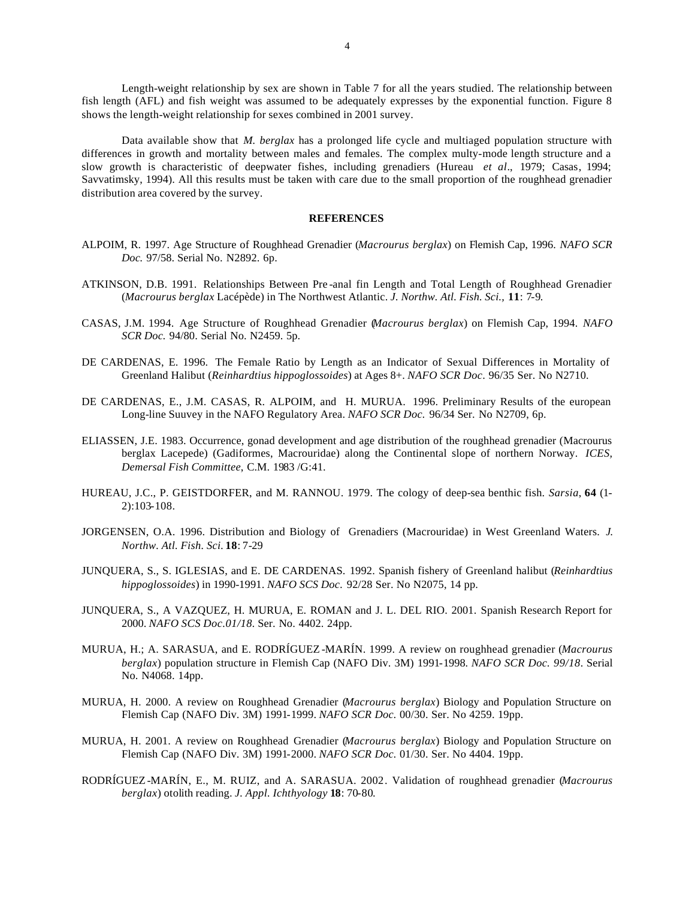Length-weight relationship by sex are shown in Table 7 for all the years studied. The relationship between fish length (AFL) and fish weight was assumed to be adequately expresses by the exponential function. Figure 8 shows the length-weight relationship for sexes combined in 2001 survey.

Data available show that *M. berglax* has a prolonged life cycle and multiaged population structure with differences in growth and mortality between males and females. The complex multy-mode length structure and a slow growth is characteristic of deepwater fishes, including grenadiers (Hureau *et al*., 1979; Casas, 1994; Savvatimsky, 1994). All this results must be taken with care due to the small proportion of the roughhead grenadier distribution area covered by the survey.

# **REFERENCES**

- ALPOIM, R. 1997. Age Structure of Roughhead Grenadier (*Macrourus berglax*) on Flemish Cap, 1996. *NAFO SCR Doc.* 97/58. Serial No. N2892. 6p.
- ATKINSON, D.B. 1991. Relationships Between Pre -anal fin Length and Total Length of Roughhead Grenadier (*Macrourus berglax* Lacépède) in The Northwest Atlantic. *J. Northw. Atl. Fish. Sci.,* **11**: 7-9.
- CASAS, J.M. 1994. Age Structure of Roughhead Grenadier (*Macrourus berglax*) on Flemish Cap, 1994. *NAFO SCR Doc.* 94/80. Serial No. N2459. 5p.
- DE CARDENAS, E. 1996. The Female Ratio by Length as an Indicator of Sexual Differences in Mortality of Greenland Halibut (*Reinhardtius hippoglossoides*) at Ages 8+. *NAFO SCR Doc*. 96/35 Ser. No N2710.
- DE CARDENAS, E., J.M. CASAS, R. ALPOIM, and H. MURUA. 1996. Preliminary Results of the european Long-line Suuvey in the NAFO Regulatory Area. *NAFO SCR Doc.* 96/34 Ser. No N2709, 6p.
- ELIASSEN, J.E. 1983. Occurrence, gonad development and age distribution of the roughhead grenadier (Macrourus berglax Lacepede) (Gadiformes, Macrouridae) along the Continental slope of northern Norway. *ICES, Demersal Fish Committee*, C.M. 1983 /G:41.
- HUREAU, J.C., P. GEISTDORFER, and M. RANNOU. 1979. The cology of deep-sea benthic fish. *Sarsia*, **64** (1- 2):103-108.
- JORGENSEN, O.A. 1996. Distribution and Biology of Grenadiers (Macrouridae) in West Greenland Waters. *J. Northw. Atl. Fish. Sci.* **18**: 7-29
- JUNQUERA, S., S. IGLESIAS, and E. DE CARDENAS. 1992. Spanish fishery of Greenland halibut (*Reinhardtius hippoglossoides*) in 1990-1991. *NAFO SCS Doc.* 92/28 Ser. No N2075, 14 pp.
- JUNQUERA, S., A VAZQUEZ, H. MURUA, E. ROMAN and J. L. DEL RIO. 2001. Spanish Research Report for 2000. *NAFO SCS Doc.01/18.* Ser. No. 4402. 24pp.
- MURUA, H.; A. SARASUA, and E. RODRÍGUEZ -MARÍN. 1999. A review on roughhead grenadier (*Macrourus berglax*) population structure in Flemish Cap (NAFO Div. 3M) 1991-1998. *NAFO SCR Doc. 99/18*. Serial No. N4068. 14pp.
- MURUA, H. 2000. A review on Roughhead Grenadier (*Macrourus berglax*) Biology and Population Structure on Flemish Cap (NAFO Div. 3M) 1991-1999. *NAFO SCR Doc.* 00/30. Ser. No 4259. 19pp.
- MURUA, H. 2001. A review on Roughhead Grenadier (*Macrourus berglax*) Biology and Population Structure on Flemish Cap (NAFO Div. 3M) 1991-2000. *NAFO SCR Doc.* 01/30. Ser. No 4404. 19pp.
- RODRÍGUEZ -MARÍN, E., M. RUIZ, and A. SARASUA. 2002. Validation of roughhead grenadier (*Macrourus berglax*) otolith reading. *J. Appl. Ichthyology* **18**: 70-80.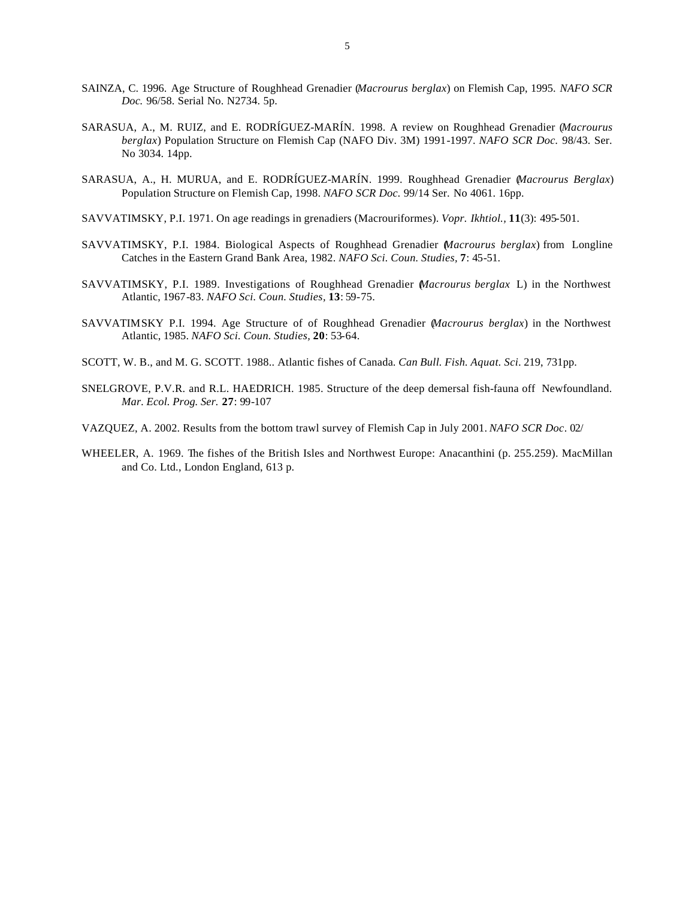- SAINZA, C. 1996. Age Structure of Roughhead Grenadier (*Macrourus berglax*) on Flemish Cap, 1995. *NAFO SCR Doc.* 96/58. Serial No. N2734. 5p.
- SARASUA, A., M. RUIZ, and E. RODRÍGUEZ-MARÍN. 1998. A review on Roughhead Grenadier (*Macrourus berglax*) Population Structure on Flemish Cap (NAFO Div. 3M) 1991-1997. *NAFO SCR Doc.* 98/43. Ser. No 3034. 14pp.
- SARASUA, A., H. MURUA, and E. RODRÍGUEZ-MARÍN. 1999. Roughhead Grenadier (*Macrourus Berglax*) Population Structure on Flemish Cap, 1998. *NAFO SCR Doc.* 99/14 Ser. No 4061. 16pp.
- SAVVATIMSKY, P.I. 1971. On age readings in grenadiers (Macrouriformes). *Vopr. Ikhtiol.,* **11**(3): 495-501.
- SAVVATIMSKY, P.I. 1984. Biological Aspects of Roughhead Grenadier (*Macrourus berglax*) from Longline Catches in the Eastern Grand Bank Area, 1982. *NAFO Sci. Coun. Studies,* **7**: 45-51.
- SAVVATIMSKY, P.I. 1989. Investigations of Roughhead Grenadier (*Macrourus berglax* L) in the Northwest Atlantic, 1967-83. *NAFO Sci. Coun. Studies,* **13**: 59-75.
- SAVVATIMSKY P.I. 1994. Age Structure of of Roughhead Grenadier (*Macrourus berglax*) in the Northwest Atlantic, 1985. *NAFO Sci. Coun. Studies,* **20**: 53-64.
- SCOTT, W. B., and M. G. SCOTT. 1988.. Atlantic fishes of Canada*. Can Bull. Fish. Aquat. Sci.* 219, 731pp.
- SNELGROVE, P.V.R. and R.L. HAEDRICH. 1985. Structure of the deep demersal fish-fauna off Newfoundland. *Mar. Ecol. Prog. Ser.* **27**: 99-107
- VAZQUEZ, A. 2002. Results from the bottom trawl survey of Flemish Cap in July 2001. *NAFO SCR Doc*. 02/
- WHEELER, A. 1969. The fishes of the British Isles and Northwest Europe: Anacanthini (p. 255.259). MacMillan and Co. Ltd., London England, 613 p.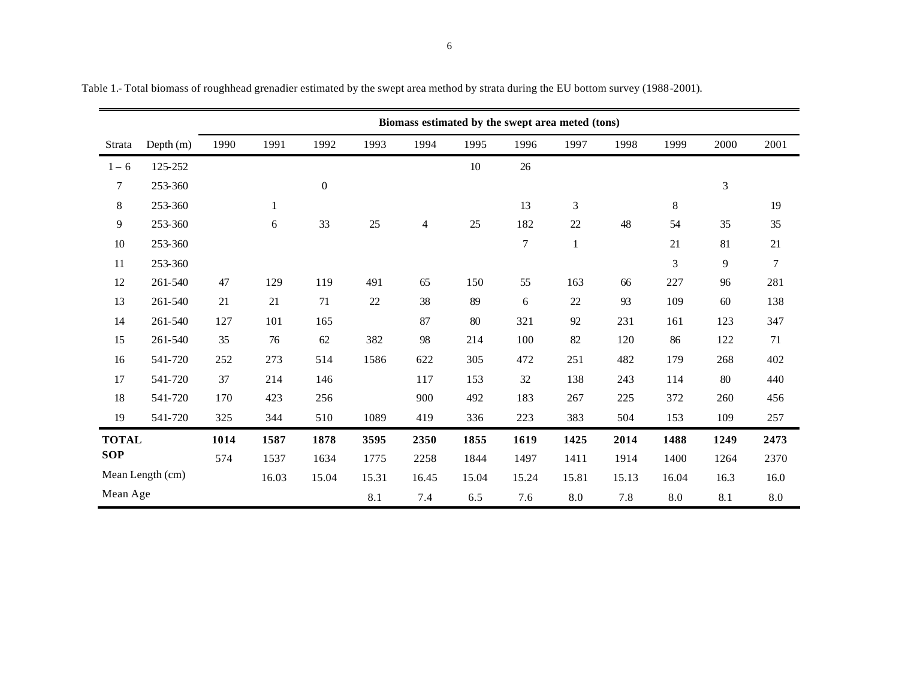|              |                  | Biomass estimated by the swept area meted (tons) |              |                  |       |                |        |                  |              |       |       |                |                  |  |  |
|--------------|------------------|--------------------------------------------------|--------------|------------------|-------|----------------|--------|------------------|--------------|-------|-------|----------------|------------------|--|--|
| Strata       | Depth (m)        | 1990                                             | 1991         | 1992             | 1993  | 1994           | 1995   | 1996             | 1997         | 1998  | 1999  | 2000           | 2001             |  |  |
| $1 - 6$      | 125-252          |                                                  |              |                  |       |                | $10\,$ | 26               |              |       |       |                |                  |  |  |
| $\tau$       | 253-360          |                                                  |              | $\boldsymbol{0}$ |       |                |        |                  |              |       |       | $\mathfrak{Z}$ |                  |  |  |
| $\,8\,$      | 253-360          |                                                  | $\mathbf{1}$ |                  |       |                |        | 13               | 3            |       | 8     |                | 19               |  |  |
| 9            | 253-360          |                                                  | 6            | 33               | 25    | $\overline{4}$ | 25     | 182              | 22           | 48    | 54    | 35             | 35               |  |  |
| $10\,$       | 253-360          |                                                  |              |                  |       |                |        | $\boldsymbol{7}$ | $\mathbf{1}$ |       | 21    | 81             | 21               |  |  |
| 11           | 253-360          |                                                  |              |                  |       |                |        |                  |              |       | 3     | 9              | $\boldsymbol{7}$ |  |  |
| 12           | 261-540          | 47                                               | 129          | 119              | 491   | 65             | 150    | 55               | 163          | 66    | 227   | 96             | 281              |  |  |
| 13           | 261-540          | 21                                               | 21           | 71               | 22    | 38             | 89     | 6                | 22           | 93    | 109   | 60             | 138              |  |  |
| 14           | 261-540          | 127                                              | 101          | 165              |       | 87             | 80     | 321              | 92           | 231   | 161   | 123            | 347              |  |  |
| 15           | 261-540          | 35                                               | 76           | 62               | 382   | 98             | 214    | 100              | 82           | 120   | 86    | 122            | $71\,$           |  |  |
| 16           | 541-720          | 252                                              | 273          | 514              | 1586  | 622            | 305    | 472              | 251          | 482   | 179   | 268            | 402              |  |  |
| 17           | 541-720          | 37                                               | 214          | 146              |       | 117            | 153    | 32               | 138          | 243   | 114   | 80             | 440              |  |  |
| 18           | 541-720          | 170                                              | 423          | 256              |       | 900            | 492    | 183              | 267          | 225   | 372   | 260            | 456              |  |  |
| 19           | 541-720          | 325                                              | 344          | 510              | 1089  | 419            | 336    | 223              | 383          | 504   | 153   | 109            | 257              |  |  |
| <b>TOTAL</b> |                  | 1014                                             | 1587         | 1878             | 3595  | 2350           | 1855   | 1619             | 1425         | 2014  | 1488  | 1249           | 2473             |  |  |
| <b>SOP</b>   |                  | 574                                              | 1537         | 1634             | 1775  | 2258           | 1844   | 1497             | 1411         | 1914  | 1400  | 1264           | 2370             |  |  |
|              | Mean Length (cm) |                                                  | 16.03        | 15.04            | 15.31 | 16.45          | 15.04  | 15.24            | 15.81        | 15.13 | 16.04 | 16.3           | 16.0             |  |  |
| Mean Age     |                  |                                                  |              |                  | 8.1   | 7.4            | 6.5    | 7.6              | 8.0          | 7.8   | 8.0   | 8.1            | $8.0\,$          |  |  |

Table 1.- Total biomass of roughhead grenadier estimated by the swept area method by strata during the EU bottom survey (1988-2001).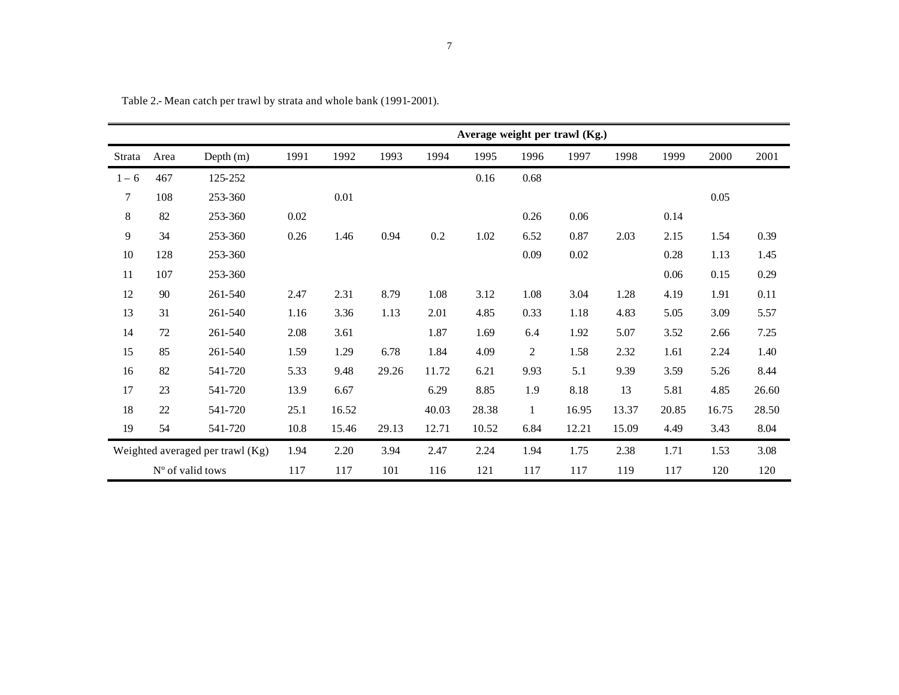|         |                                    |             |      |       |       |       | Average weight per trawl (Kg.) |                  |          |       |       |       |       |
|---------|------------------------------------|-------------|------|-------|-------|-------|--------------------------------|------------------|----------|-------|-------|-------|-------|
| Strata  | Area                               | Depth $(m)$ | 1991 | 1992  | 1993  | 1994  | 1995                           | 1996             | 1997     | 1998  | 1999  | 2000  | 2001  |
| $1 - 6$ | 467                                | 125-252     |      |       |       |       | 0.16                           | 0.68             |          |       |       |       |       |
| 7       | 108                                | 253-360     |      | 0.01  |       |       |                                |                  |          |       |       | 0.05  |       |
| $8\,$   | 82                                 | 253-360     | 0.02 |       |       |       |                                | 0.26             | 0.06     |       | 0.14  |       |       |
| 9       | 34                                 | 253-360     | 0.26 | 1.46  | 0.94  | 0.2   | 1.02                           | 6.52             | 0.87     | 2.03  | 2.15  | 1.54  | 0.39  |
| 10      | 128                                | 253-360     |      |       |       |       |                                | 0.09             | $0.02\,$ |       | 0.28  | 1.13  | 1.45  |
| 11      | 107                                | 253-360     |      |       |       |       |                                |                  |          |       | 0.06  | 0.15  | 0.29  |
| 12      | 90                                 | 261-540     | 2.47 | 2.31  | 8.79  | 1.08  | 3.12                           | 1.08             | 3.04     | 1.28  | 4.19  | 1.91  | 0.11  |
| 13      | 31                                 | 261-540     | 1.16 | 3.36  | 1.13  | 2.01  | 4.85                           | 0.33             | 1.18     | 4.83  | 5.05  | 3.09  | 5.57  |
| 14      | $72\,$                             | 261-540     | 2.08 | 3.61  |       | 1.87  | 1.69                           | 6.4              | 1.92     | 5.07  | 3.52  | 2.66  | 7.25  |
| 15      | 85                                 | 261-540     | 1.59 | 1.29  | 6.78  | 1.84  | 4.09                           | $\boldsymbol{2}$ | 1.58     | 2.32  | 1.61  | 2.24  | 1.40  |
| 16      | 82                                 | 541-720     | 5.33 | 9.48  | 29.26 | 11.72 | 6.21                           | 9.93             | 5.1      | 9.39  | 3.59  | 5.26  | 8.44  |
| 17      | 23                                 | 541-720     | 13.9 | 6.67  |       | 6.29  | 8.85                           | 1.9              | 8.18     | 13    | 5.81  | 4.85  | 26.60 |
| 18      | 22                                 | 541-720     | 25.1 | 16.52 |       | 40.03 | 28.38                          | $\mathbf{1}$     | 16.95    | 13.37 | 20.85 | 16.75 | 28.50 |
| 19      | 54                                 | 541-720     | 10.8 | 15.46 | 29.13 | 12.71 | 10.52                          | 6.84             | 12.21    | 15.09 | 4.49  | 3.43  | 8.04  |
|         | Weighted averaged per trawl $(Kg)$ |             |      | 2.20  | 3.94  | 2.47  | 2.24                           | 1.94             | 1.75     | 2.38  | 1.71  | 1.53  | 3.08  |
|         | N° of valid tows                   |             |      | 117   | 101   | 116   | 121                            | 117              | 117      | 119   | 117   | 120   | 120   |

Table 2.- Mean catch per trawl by strata and whole bank (1991-2001).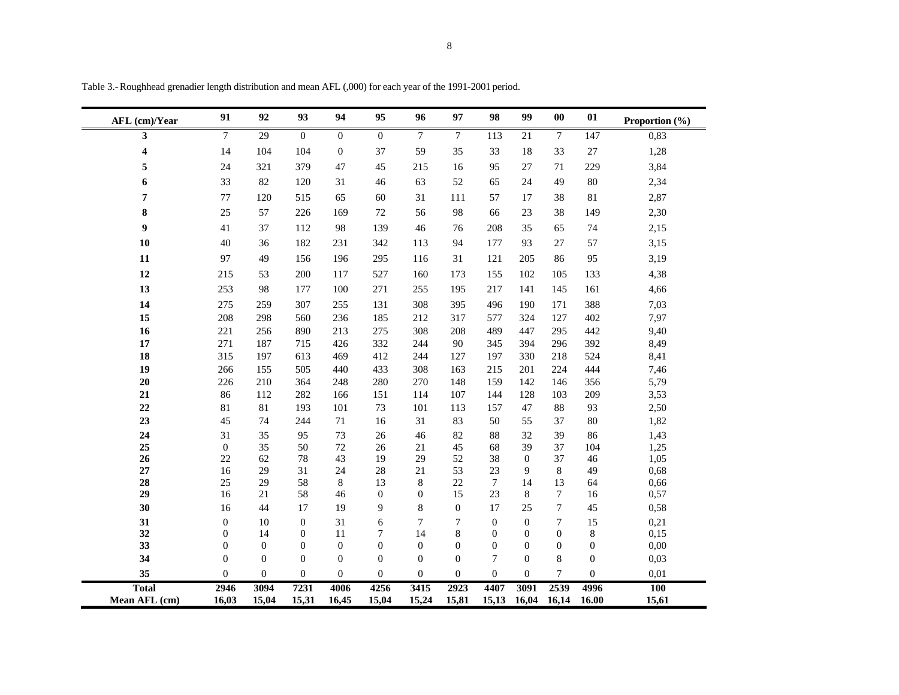| AFL (cm)/Year | 91             | 92             | 93               | 94             | 95             | 96             | 97              | 98             | 99               | 00           | 01           | Proportion (%) |
|---------------|----------------|----------------|------------------|----------------|----------------|----------------|-----------------|----------------|------------------|--------------|--------------|----------------|
| 3             | $\tau$         | 29             | $\overline{0}$   | $\overline{0}$ | $\overline{0}$ | $\tau$         | $7\phantom{.0}$ | 113            | 21               | 7            | 147          | 0,83           |
| 4             | 14             | 104            | 104              | $\mathbf{0}$   | 37             | 59             | 35              | 33             | 18               | 33           | 27           | 1,28           |
| 5             | 24             | 321            | 379              | 47             | 45             | 215            | 16              | 95             | 27               | 71           | 229          | 3,84           |
| 6             | 33             | 82             | 120              | 31             | 46             | 63             | 52              | 65             | 24               | 49           | 80           | 2,34           |
| 7             | 77             | 120            | 515              | 65             | 60             | 31             | 111             | 57             | 17               | 38           | 81           | 2,87           |
| 8             | 25             | 57             | 226              | 169            | 72             | 56             | 98              | 66             | 23               | 38           | 149          | 2,30           |
| 9             | 41             | 37             | 112              | 98             | 139            | 46             | 76              | 208            | 35               | 65           | 74           | 2,15           |
| 10            | 40             | 36             | 182              | 231            | 342            | 113            | 94              | 177            | 93               | 27           | 57           | 3,15           |
| 11            | 97             | 49             | 156              | 196            | 295            | 116            | 31              | 121            | 205              | 86           | 95           | 3,19           |
| 12            | 215            | 53             | 200              | 117            | 527            | 160            | 173             | 155            | 102              | 105          | 133          | 4,38           |
|               |                |                |                  |                |                |                |                 |                |                  |              |              |                |
| 13            | 253            | 98             | 177              | 100            | 271            | 255            | 195             | 217            | 141              | 145          | 161          | 4,66           |
| 14            | 275            | 259            | 307              | 255            | 131            | 308            | 395             | 496            | 190              | 171          | 388          | 7,03           |
| 15            | 208            | 298            | 560              | 236            | 185            | 212            | 317             | 577            | 324              | 127          | 402          | 7,97           |
| 16            | 221            | 256            | 890              | 213            | 275            | 308            | 208             | 489            | 447              | 295          | 442          | 9,40           |
| 17            | 271            | 187            | 715              | 426            | 332            | 244            | 90              | 345            | 394              | 296          | 392          | 8,49           |
| 18            | 315            | 197            | 613              | 469            | 412            | 244            | 127             | 197            | 330              | 218          | 524          | 8,41           |
| 19            | 266            | 155            | 505              | 440            | 433            | 308            | 163             | 215            | 201              | 224          | 444          | 7,46           |
| 20            | 226            | 210            | 364              | 248            | 280            | 270            | 148             | 159            | 142              | 146          | 356          | 5,79           |
| 21            | 86             | 112            | 282              | 166            | 151            | 114            | 107             | 144            | 128              | 103          | 209          | 3,53           |
| 22            | 81             | 81             | 193              | 101            | 73             | 101            | 113             | 157            | 47               | 88           | 93           | 2,50           |
| 23            | 45             | 74             | 244              | 71             | 16             | 31             | 83              | 50             | 55               | 37           | 80           | 1,82           |
| 24            | 31             | 35             | 95               | 73             | 26             | 46             | 82              | 88             | 32               | 39           | 86           | 1,43           |
| 25            | $\mathbf{0}$   | 35             | 50               | 72             | 26             | 21             | 45              | 68             | 39               | 37           | 104          | 1,25           |
| 26            | 22             | 62             | 78               | 43             | 19             | 29             | 52              | 38             | $\mathbf{0}$     | 37           | 46           | 1,05           |
| 27            | 16             | 29             | 31               | 24             | 28             | 21             | 53              | 23             | 9                | $8\,$        | 49           | 0,68           |
| 28            | 25             | 29             | 58               | $\,8\,$        | 13             | $\,8\,$        | 22              | 7              | 14               | 13           | 64           | 0,66           |
| 29            | 16             | 21             | 58               | 46             | 0              | $\overline{0}$ | 15              | 23             | 8                | $\tau$       | 16           | 0,57           |
| 30            | 16             | 44             | 17               | 19             | 9              | 8              | $\overline{0}$  | 17             | 25               | $\tau$       | 45           | 0,58           |
| 31            | $\overline{0}$ | 10             | $\boldsymbol{0}$ | 31             | 6              | 7              | $\tau$          | $\overline{0}$ | $\boldsymbol{0}$ | $\tau$       | 15           | 0,21           |
| 32            | $\theta$       | 14             | $\boldsymbol{0}$ | 11             | 7              | 14             | 8               | $\overline{0}$ | $\boldsymbol{0}$ | $\mathbf{0}$ | $\,8\,$      | 0,15           |
| 33            | $\Omega$       | $\overline{0}$ | $\overline{0}$   | $\overline{0}$ | $\Omega$       | $\Omega$       | $\Omega$        | $\Omega$       | $\overline{0}$   | $\theta$     | $\mathbf{0}$ | 0,00           |
| 34            | $\theta$       | $\mathbf{0}$   | $\theta$         | $\theta$       | $\Omega$       | $\Omega$       | $\Omega$        | $\tau$         | $\overline{0}$   | 8            | $\theta$     | 0,03           |
| 35            | $\overline{0}$ | $\theta$       | $\overline{0}$   | $\theta$       | $\Omega$       | $\Omega$       | $\Omega$        | $\theta$       | $\overline{0}$   | $\tau$       | $\Omega$     | 0,01           |
| <b>Total</b>  | 2946           | 3094           | 7231             | 4006           | 4256           | 3415           | 2923            | 4407           | 3091             | 2539         | 4996         | 100            |
| Mean AFL (cm) | 16,03          | 15,04          | 15,31            | 16,45          | 15,04          | 15,24          | 15,81           | 15,13          | 16,04            | 16,14        | 16.00        | 15,61          |

Table 3.- Roughhead grenadier length distribution and mean AFL (,000) for each year of the 1991-2001 period.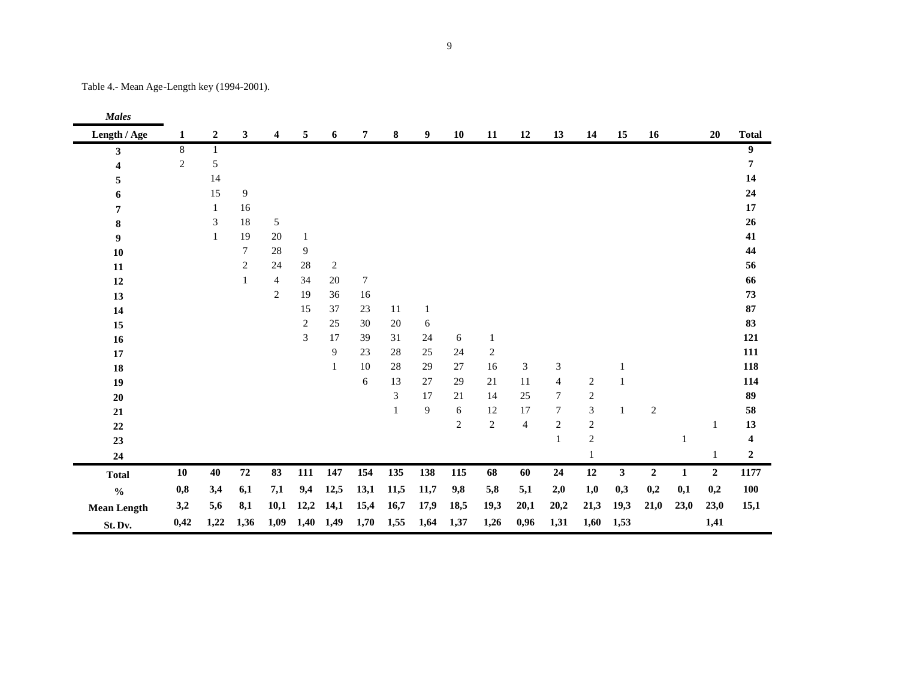| Table 4.- Mean Age-Length key (1994-2001). |
|--------------------------------------------|
|--------------------------------------------|

| <b>Males</b>       |                |              |                |                         |                  |                  |                |        |      |                |                |                |                  |                |      |                |              |              |                  |
|--------------------|----------------|--------------|----------------|-------------------------|------------------|------------------|----------------|--------|------|----------------|----------------|----------------|------------------|----------------|------|----------------|--------------|--------------|------------------|
| Length / Age       | $\mathbf{1}$   | $\mathbf{2}$ | $\mathbf{3}$   | $\overline{\mathbf{4}}$ | 5                | 6                | $\overline{7}$ | 8      | 9    | 10             | 11             | 12             | 13               | 14             | 15   | 16             |              | 20           | <b>Total</b>     |
| 3                  | 8              | 1            |                |                         |                  |                  |                |        |      |                |                |                |                  |                |      |                |              |              | 9                |
| 4                  | $\overline{2}$ | 5            |                |                         |                  |                  |                |        |      |                |                |                |                  |                |      |                |              |              | $\overline{7}$   |
| 5                  |                | 14           |                |                         |                  |                  |                |        |      |                |                |                |                  |                |      |                |              |              | 14               |
| 6                  |                | 15           | $\overline{9}$ |                         |                  |                  |                |        |      |                |                |                |                  |                |      |                |              |              | 24               |
| 7                  |                | 1            | 16             |                         |                  |                  |                |        |      |                |                |                |                  |                |      |                |              |              | 17               |
| 8                  |                | 3            | 18             | 5                       |                  |                  |                |        |      |                |                |                |                  |                |      |                |              |              | 26               |
| 9                  |                | $\mathbf{1}$ | 19             | $20\,$                  | 1                |                  |                |        |      |                |                |                |                  |                |      |                |              |              | 41               |
| 10                 |                |              | $\tau$         | 28                      | 9                |                  |                |        |      |                |                |                |                  |                |      |                |              |              | 44               |
| 11                 |                |              | $\sqrt{2}$     | 24                      | 28               | $\boldsymbol{2}$ |                |        |      |                |                |                |                  |                |      |                |              |              | 56               |
| 12                 |                |              | 1              | $\overline{4}$          | 34               | $20\,$           | $\tau$         |        |      |                |                |                |                  |                |      |                |              |              | 66               |
| 13                 |                |              |                | 2                       | 19               | 36               | 16             |        |      |                |                |                |                  |                |      |                |              |              | 73               |
| 14                 |                |              |                |                         | 15               | 37               | 23             | 11     | 1    |                |                |                |                  |                |      |                |              |              | 87               |
| 15                 |                |              |                |                         | $\boldsymbol{2}$ | 25               | 30             | 20     | 6    |                |                |                |                  |                |      |                |              |              | 83               |
| 16                 |                |              |                |                         | 3                | 17               | 39             | 31     | 24   | 6              | 1              |                |                  |                |      |                |              |              | 121              |
| 17                 |                |              |                |                         |                  | 9                | 23             | 28     | 25   | 24             | 2              |                |                  |                |      |                |              |              | 111              |
| 18                 |                |              |                |                         |                  | $\mathbf{1}$     | 10             | $28\,$ | 29   | 27             | 16             | $\sqrt{3}$     | $\mathfrak{Z}$   |                |      |                |              |              | 118              |
| 19                 |                |              |                |                         |                  |                  | 6              | 13     | 27   | 29             | 21             | 11             | $\overline{4}$   | 2              |      |                |              |              | 114              |
| ${\bf 20}$         |                |              |                |                         |                  |                  |                | 3      | 17   | 21             | 14             | 25             | $\tau$           | $\overline{c}$ |      |                |              |              | 89               |
| 21                 |                |              |                |                         |                  |                  |                | 1      | 9    | 6              | 12             | 17             | $\overline{7}$   | 3              | 1    | $\overline{c}$ |              |              | 58               |
| $\bf 22$           |                |              |                |                         |                  |                  |                |        |      | $\overline{c}$ | $\overline{c}$ | $\overline{4}$ | $\boldsymbol{2}$ | $\overline{c}$ |      |                |              | 1            | 13               |
| 23                 |                |              |                |                         |                  |                  |                |        |      |                |                |                | $\mathbf{1}$     | $\overline{c}$ |      |                | 1            |              | 4                |
| 24                 |                |              |                |                         |                  |                  |                |        |      |                |                |                |                  |                |      |                |              |              | $\boldsymbol{2}$ |
| <b>Total</b>       | 10             | 40           | $\bf 72$       | 83                      | 111              | 147              | 154            | 135    | 138  | 115            | 68             | 60             | 24               | 12             | 3    | $\mathbf{2}$   | $\mathbf{1}$ | $\mathbf{2}$ | 1177             |
| $\frac{0}{0}$      | 0,8            | 3,4          | 6,1            | 7,1                     | 9,4              | 12,5             | 13,1           | 11,5   | 11,7 | 9,8            | 5,8            | 5,1            | 2,0              | 1,0            | 0,3  | 0,2            | 0,1          | 0,2          | <b>100</b>       |
| <b>Mean Length</b> | 3,2            | 5,6          | 8,1            | 10,1                    | 12,2             | 14,1             | 15,4           | 16,7   | 17,9 | 18,5           | 19,3           | 20,1           | 20,2             | 21,3           | 19,3 | 21,0           | 23,0         | 23,0         | 15,1             |
| St. Dv.            | 0,42           | 1,22         | 1,36           | 1,09                    |                  | 1,40 1,49        | 1,70           | 1,55   | 1,64 | 1,37           | 1,26           | 0,96           | 1,31             | 1,60           | 1,53 |                |              | 1,41         |                  |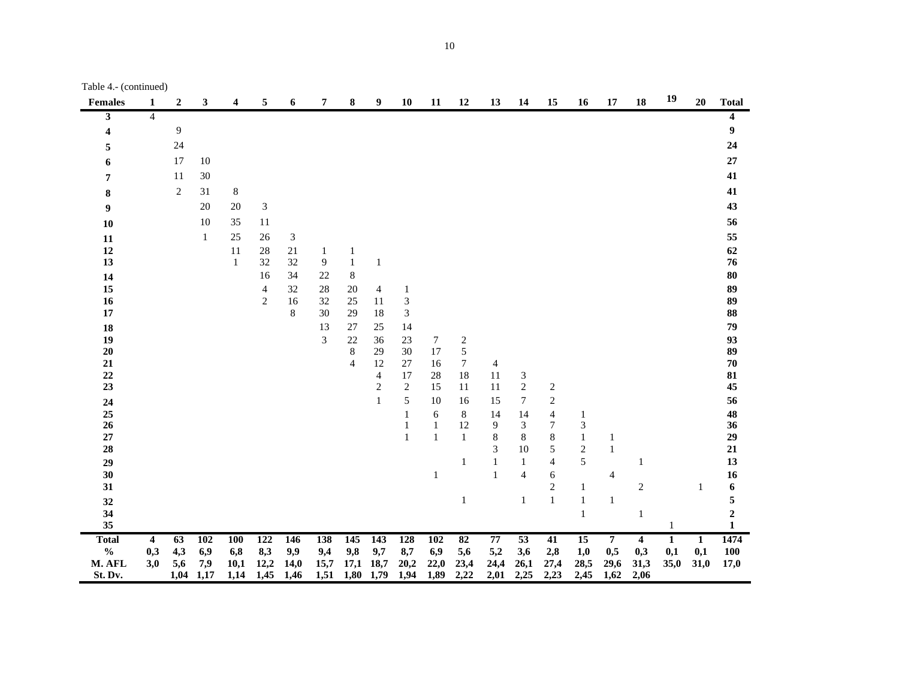| $1$ avic $4.5$ (commuted)<br>Females | $\mathbf{1}$   | $\boldsymbol{2}$ | 3            | 4            | 5                                         | 6                           | 7            | 8                       | 9              | <b>10</b>         | 11                           | 12                 | 13              | 14             | 15             | 16                | 17             | 18                      | 19           | 20   | <b>Total</b>                     |
|--------------------------------------|----------------|------------------|--------------|--------------|-------------------------------------------|-----------------------------|--------------|-------------------------|----------------|-------------------|------------------------------|--------------------|-----------------|----------------|----------------|-------------------|----------------|-------------------------|--------------|------|----------------------------------|
| 3                                    | $\overline{4}$ |                  |              |              |                                           |                             |              |                         |                |                   |                              |                    |                 |                |                |                   |                |                         |              |      | 4                                |
| 4                                    |                | $\boldsymbol{9}$ |              |              |                                           |                             |              |                         |                |                   |                              |                    |                 |                |                |                   |                |                         |              |      | 9                                |
| 5                                    |                | 24               |              |              |                                           |                             |              |                         |                |                   |                              |                    |                 |                |                |                   |                |                         |              |      | 24                               |
| 6                                    |                | 17               | $10\,$       |              |                                           |                             |              |                         |                |                   |                              |                    |                 |                |                |                   |                |                         |              |      | 27                               |
| 7                                    |                | 11               | $30\,$       |              |                                           |                             |              |                         |                |                   |                              |                    |                 |                |                |                   |                |                         |              |      | 41                               |
| ${\bf 8}$                            |                | $\boldsymbol{2}$ | 31           | 8            |                                           |                             |              |                         |                |                   |                              |                    |                 |                |                |                   |                |                         |              |      | 41                               |
| $\boldsymbol{9}$                     |                |                  | $20\,$       | $20\,$       | $\ensuremath{\mathfrak{Z}}$               |                             |              |                         |                |                   |                              |                    |                 |                |                |                   |                |                         |              |      | 43                               |
| 10                                   |                |                  | $10\,$       | 35           | 11                                        |                             |              |                         |                |                   |                              |                    |                 |                |                |                   |                |                         |              |      | 56                               |
| 11                                   |                |                  | $\mathbf{1}$ | 25           | $26\,$                                    | $\ensuremath{\mathfrak{Z}}$ |              |                         |                |                   |                              |                    |                 |                |                |                   |                |                         |              |      | 55                               |
| 12                                   |                |                  |              | 11           | $28\,$                                    | $21\,$                      | $\mathbf{1}$ | 1                       |                |                   |                              |                    |                 |                |                |                   |                |                         |              |      | 62                               |
| 13                                   |                |                  |              | $\mathbf{1}$ | 32                                        | 32                          | 9            | $\mathbf{1}$            | 1              |                   |                              |                    |                 |                |                |                   |                |                         |              |      | 76                               |
| 14                                   |                |                  |              |              | 16                                        | 34                          | 22           | $8\,$                   |                |                   |                              |                    |                 |                |                |                   |                |                         |              |      | 80                               |
| 15<br>16                             |                |                  |              |              | $\overline{\mathbf{4}}$<br>$\overline{c}$ | 32<br>16                    | 28<br>32     | $20\,$<br>$25\,$        | 4<br>11        | $\mathbf{1}$<br>3 |                              |                    |                 |                |                |                   |                |                         |              |      | 89<br>89                         |
| 17                                   |                |                  |              |              |                                           | $\,8\,$                     | 30           | 29                      | 18             | 3                 |                              |                    |                 |                |                |                   |                |                         |              |      | 88                               |
| 18                                   |                |                  |              |              |                                           |                             | 13           | 27                      | 25             | 14                |                              |                    |                 |                |                |                   |                |                         |              |      | 79                               |
| 19                                   |                |                  |              |              |                                           |                             | 3            | $22\,$                  | 36             | 23                | 7                            | $\boldsymbol{2}$   |                 |                |                |                   |                |                         |              |      | 93                               |
| $20\,$<br>21                         |                |                  |              |              |                                           |                             |              | $8\,$<br>$\overline{4}$ | 29<br>12       | 30<br>27          | 17<br>16                     | 5<br>$\tau$        | 4               |                |                |                   |                |                         |              |      | 89<br>70                         |
| 22                                   |                |                  |              |              |                                           |                             |              |                         | $\overline{4}$ | 17                | 28                           | 18                 | 11              | $\sqrt{3}$     |                |                   |                |                         |              |      | 81                               |
| 23                                   |                |                  |              |              |                                           |                             |              |                         | $\mathbf{2}$   | 2                 | 15                           | 11                 | 11              | $\overline{c}$ | $\overline{c}$ |                   |                |                         |              |      | 45                               |
| 24                                   |                |                  |              |              |                                           |                             |              |                         | $\mathbf{1}$   | 5                 | 10                           | 16                 | 15              | 7              | $\overline{c}$ |                   |                |                         |              |      | 56                               |
| 25                                   |                |                  |              |              |                                           |                             |              |                         |                | $\mathbf{1}$      | 6                            | 8                  | 14              | 14             | 4              | 1                 |                |                         |              |      | 48                               |
| 26<br>27                             |                |                  |              |              |                                           |                             |              |                         |                | $\mathbf{1}$<br>1 | $\mathbf{1}$<br>$\mathbf{1}$ | 12<br>$\mathbf{1}$ | 9<br>$8\,$      | 3<br>$\,8\,$   | 7<br>$\,8\,$   | 3<br>$\mathbf{1}$ | $\mathbf{1}$   |                         |              |      | 36<br>29                         |
| 28                                   |                |                  |              |              |                                           |                             |              |                         |                |                   |                              |                    | 3               | $10\,$         | 5              | $\sqrt{2}$        | $\,1\,$        |                         |              |      | 21                               |
| 29                                   |                |                  |              |              |                                           |                             |              |                         |                |                   |                              | $\mathbf{1}$       | $\mathbf{1}$    | $\mathbf{1}$   | 4              | 5                 |                | 1                       |              |      | 13                               |
| 30                                   |                |                  |              |              |                                           |                             |              |                         |                |                   | $\mathbf{1}$                 |                    | $\mathbf{1}$    | $\overline{4}$ | 6              |                   | 4              |                         |              |      | 16                               |
| 31                                   |                |                  |              |              |                                           |                             |              |                         |                |                   |                              |                    |                 |                | $\overline{c}$ | $\mathbf{1}$      |                | $\sqrt{2}$              |              | 1    | 6                                |
| 32<br>34                             |                |                  |              |              |                                           |                             |              |                         |                |                   |                              | $\mathbf{1}$       |                 | $\mathbf{1}$   | $\mathbf{1}$   | $\,1\,$           | $\mathbf{1}$   |                         |              |      | 5                                |
| 35                                   |                |                  |              |              |                                           |                             |              |                         |                |                   |                              |                    |                 |                |                | $\mathbf{1}$      |                | $\mathbf{1}$            | $\mathbf{1}$ |      | $\boldsymbol{2}$<br>$\mathbf{1}$ |
| <b>Total</b>                         | 4              | 63               | 102          | 100          | 122                                       | 146                         | 138          | 145                     | 143            | 128               | 102                          | 82                 | $\overline{77}$ | 53             | 41             | $\overline{15}$   | $\overline{7}$ | $\overline{\mathbf{4}}$ | $\mathbf{1}$ | 1    | 1474                             |
| $\mathbf{0}_{\mathbf{0}}^{\prime}$   | 0,3            | 4,3              | 6,9          | 6,8          | 8,3                                       | 9,9                         | 9,4          | 9,8                     | 9,7            | 8,7               | 6,9                          | 5,6                | 5,2             | 3,6            | 2,8            | 1,0               | 0,5            | 0,3                     | 0,1          | 0,1  | <b>100</b>                       |
| M. AFL<br>St. Dv.                    | 3,0            | 5,6<br>1,04      | 7,9<br>1,17  | 10,1<br>1,14 | 12,2<br>1,45                              | 14,0<br>1,46                | 15,7<br>1,51 | 17,1<br>1,80 1,79       | 18,7           | 20,2<br>1,94      | 22,0<br>1,89                 | 23,4<br>2,22       | 24,4<br>2,01    | 26,1<br>2,25   | 27,4<br>2,23   | 28,5<br>2,45      | 29,6<br>1,62   | 31,3<br>2,06            | 35,0         | 31,0 | 17,0                             |

Table 4.- (continued)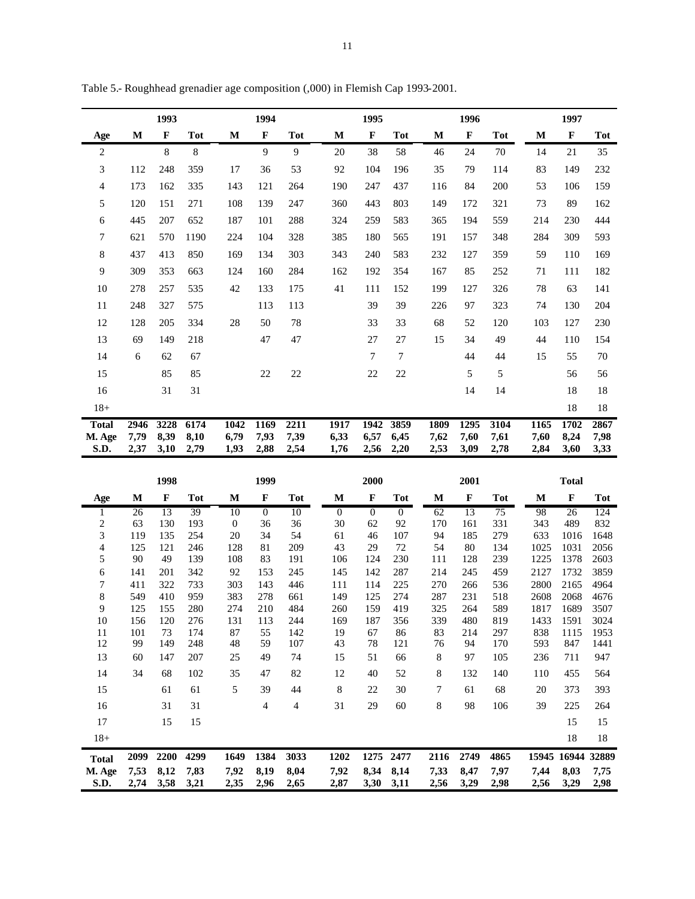|                                |                      | 1993                 |                      |                      | 1994                 |                      |                      | 1995                 |                      |                      | 1996                 |                      |                      | 1997                 |                      |
|--------------------------------|----------------------|----------------------|----------------------|----------------------|----------------------|----------------------|----------------------|----------------------|----------------------|----------------------|----------------------|----------------------|----------------------|----------------------|----------------------|
| Age                            | M                    | $\mathbf{F}$         | <b>Tot</b>           | M                    | $\mathbf{F}$         | <b>Tot</b>           | M                    | $\mathbf{F}$         | <b>Tot</b>           | М                    | $\mathbf F$          | <b>Tot</b>           | М                    | $\mathbf F$          | <b>Tot</b>           |
| $\overline{c}$                 |                      | 8                    | 8                    |                      | 9                    | 9                    | 20                   | 38                   | 58                   | 46                   | 24                   | 70                   | 14                   | 21                   | 35                   |
| 3                              | 112                  | 248                  | 359                  | 17                   | 36                   | 53                   | 92                   | 104                  | 196                  | 35                   | 79                   | 114                  | 83                   | 149                  | 232                  |
| 4                              | 173                  | 162                  | 335                  | 143                  | 121                  | 264                  | 190                  | 247                  | 437                  | 116                  | 84                   | 200                  | 53                   | 106                  | 159                  |
| 5                              | 120                  | 151                  | 271                  | 108                  | 139                  | 247                  | 360                  | 443                  | 803                  | 149                  | 172                  | 321                  | 73                   | 89                   | 162                  |
| 6                              | 445                  | 207                  | 652                  | 187                  | 101                  | 288                  | 324                  | 259                  | 583                  | 365                  | 194                  | 559                  | 214                  | 230                  | 444                  |
| 7                              | 621                  | 570                  | 1190                 | 224                  | 104                  | 328                  | 385                  | 180                  | 565                  | 191                  | 157                  | 348                  | 284                  | 309                  | 593                  |
| 8                              | 437                  | 413                  | 850                  | 169                  | 134                  | 303                  | 343                  | 240                  | 583                  | 232                  | 127                  | 359                  | 59                   | 110                  | 169                  |
| 9                              | 309                  | 353                  | 663                  | 124                  | 160                  | 284                  | 162                  | 192                  | 354                  | 167                  | 85                   | 252                  | 71                   | 111                  | 182                  |
| 10                             | 278                  | 257                  | 535                  | 42                   | 133                  | 175                  | 41                   | 111                  | 152                  | 199                  | 127                  | 326                  | 78                   | 63                   | 141                  |
| 11                             | 248                  | 327                  | 575                  |                      | 113                  | 113                  |                      | 39                   | 39                   | 226                  | 97                   | 323                  | 74                   | 130                  | 204                  |
| 12                             | 128                  | 205                  | 334                  | 28                   | 50                   | 78                   |                      | 33                   | 33                   | 68                   | 52                   | 120                  | 103                  | 127                  | 230                  |
| 13                             | 69                   | 149                  | 218                  |                      | 47                   | 47                   |                      | 27                   | 27                   | 15                   | 34                   | 49                   | 44                   | 110                  | 154                  |
| 14                             | 6                    | 62                   | 67                   |                      |                      |                      |                      | $\tau$               | 7                    |                      | 44                   | 44                   | 15                   | 55                   | 70                   |
| 15                             |                      | 85                   | 85                   |                      | 22                   | 22                   |                      | 22                   | 22                   |                      | 5                    | 5                    |                      | 56                   | 56                   |
| 16                             |                      | 31                   | 31                   |                      |                      |                      |                      |                      |                      |                      | 14                   | 14                   |                      | 18                   | 18                   |
| $18+$                          |                      |                      |                      |                      |                      |                      |                      |                      |                      |                      |                      |                      |                      | 18                   | 18                   |
| <b>Total</b><br>M. Age<br>S.D. | 2946<br>7,79<br>2,37 | 3228<br>8,39<br>3,10 | 6174<br>8,10<br>2,79 | 1042<br>6,79<br>1,93 | 1169<br>7,93<br>2,88 | 2211<br>7,39<br>2,54 | 1917<br>6.33<br>1,76 | 1942<br>6,57<br>2,56 | 3859<br>6,45<br>2,20 | 1809<br>7,62<br>2,53 | 1295<br>7.60<br>3,09 | 3104<br>7,61<br>2,78 | 1165<br>7.60<br>2,84 | 1702<br>8,24<br>3,60 | 2867<br>7,98<br>3,33 |

Table 5.- Roughhead grenadier age composition (,000) in Flemish Cap 1993-2001.

|                |      | 1998         |            |              | 1999           |            |                | 2000           |                |                | 2001 |            |       | <b>Total</b> |            |
|----------------|------|--------------|------------|--------------|----------------|------------|----------------|----------------|----------------|----------------|------|------------|-------|--------------|------------|
| Age            | M    | $\mathbf{F}$ | <b>Tot</b> | M            | $\mathbf{F}$   | <b>Tot</b> | M              | $\mathbf{F}$   | <b>Tot</b>     | M              | F    | <b>Tot</b> | М     | $\mathbf{F}$ | <b>Tot</b> |
|                | 26   | 13           | 39         | 10           | $\overline{0}$ | 10         | $\overline{0}$ | $\overline{0}$ | $\overline{0}$ | 62             | 13   | 75         | 98    | 26           | 124        |
| $\overline{c}$ | 63   | 130          | 193        | $\mathbf{0}$ | 36             | 36         | 30             | 62             | 92             | 170            | 161  | 331        | 343   | 489          | 832        |
| 3              | 119  | 135          | 254        | 20           | 34             | 54         | 61             | 46             | 107            | 94             | 185  | 279        | 633   | 1016         | 1648       |
| 4              | 125  | 121          | 246        | 128          | 81             | 209        | 43             | 29             | 72             | 54             | 80   | 134        | 1025  | 1031         | 2056       |
| 5              | 90   | 49           | 139        | 108          | 83             | 191        | 106            | 124            | 230            | 111            | 128  | 239        | 1225  | 1378         | 2603       |
| 6              | 141  | 201          | 342        | 92           | 153            | 245        | 145            | 142            | 287            | 214            | 245  | 459        | 2127  | 1732         | 3859       |
| 7              | 411  | 322          | 733        | 303          | 143            | 446        | 111            | 114            | 225            | 270            | 266  | 536        | 2800  | 2165         | 4964       |
| 8              | 549  | 410          | 959        | 383          | 278            | 661        | 149            | 125            | 274            | 287            | 231  | 518        | 2608  | 2068         | 4676       |
| 9              | 125  | 155          | 280        | 274          | 210            | 484        | 260            | 159            | 419            | 325            | 264  | 589        | 1817  | 1689         | 3507       |
| 10             | 156  | 120          | 276        | 131          | 113            | 244        | 169            | 187            | 356            | 339            | 480  | 819        | 1433  | 1591         | 3024       |
| 11             | 101  | 73           | 174        | 87           | 55             | 142        | 19             | 67             | 86             | 83             | 214  | 297        | 838   | 1115         | 1953       |
| 12             | 99   | 149          | 248        | 48           | 59             | 107        | 43             | 78             | 121            | 76             | 94   | 170        | 593   | 847          | 1441       |
| 13             | 60   | 147          | 207        | 25           | 49             | 74         | 15             | 51             | 66             | 8              | 97   | 105        | 236   | 711          | 947        |
| 14             | 34   | 68           | 102        | 35           | 47             | 82         | 12             | 40             | 52             | 8              | 132  | 140        | 110   | 455          | 564        |
| 15             |      | 61           | 61         | 5            | 39             | 44         | $\,8\,$        | 22             | 30             | $\overline{7}$ | 61   | 68         | 20    | 373          | 393        |
| 16             |      | 31           | 31         |              | 4              | 4          | 31             | 29             | 60             | 8              | 98   | 106        | 39    | 225          | 264        |
| 17             |      | 15           | 15         |              |                |            |                |                |                |                |      |            |       | 15           | 15         |
| $18+$          |      |              |            |              |                |            |                |                |                |                |      |            |       | 18           | $18\,$     |
| <b>Total</b>   | 2099 | 2200         | 4299       | 1649         | 1384           | 3033       | 1202           | 1275           | 2477           | 2116           | 2749 | 4865       | 15945 | 16944 32889  |            |
| M. Age         | 7,53 | 8,12         | 7,83       | 7,92         | 8,19           | 8,04       | 7,92           | 8,34           | 8,14           | 7,33           | 8,47 | 7,97       | 7,44  | 8,03         | 7,75       |
| S.D.           | 2,74 | 3,58         | 3,21       | 2,35         | 2,96           | 2,65       | 2,87           | 3,30           | 3,11           | 2,56           | 3,29 | 2,98       | 2,56  | 3,29         | 2,98       |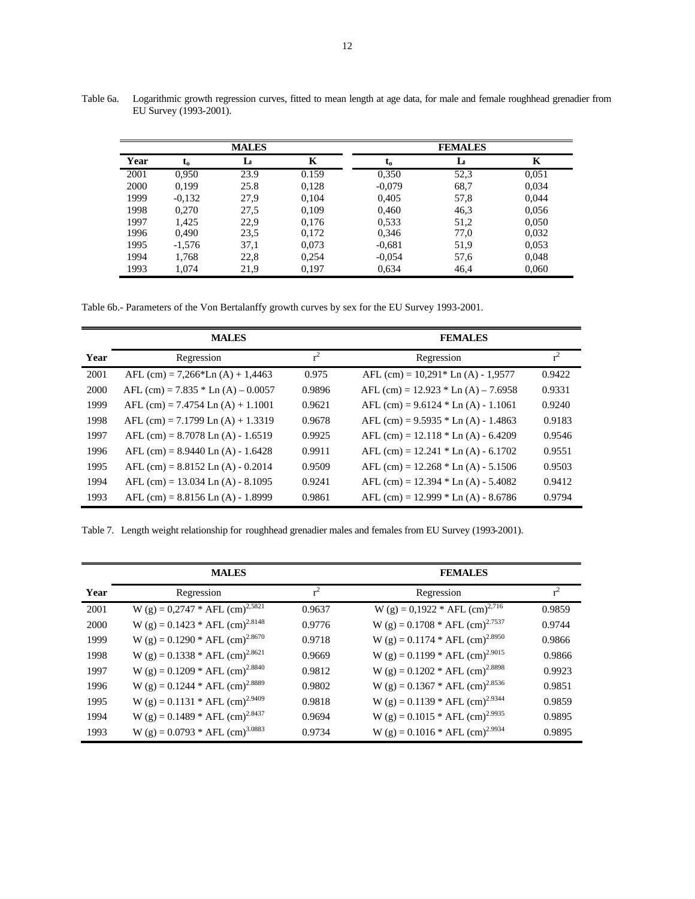|      |          | <b>MALES</b> |       |          | <b>FEMALES</b> |       |
|------|----------|--------------|-------|----------|----------------|-------|
| Year | $L_0$    | Ls           | K     | $L_0$    | Ls             | K     |
| 2001 | 0,950    | 23.9         | 0.159 | 0,350    | 52,3           | 0.051 |
| 2000 | 0.199    | 25.8         | 0,128 | $-0.079$ | 68,7           | 0.034 |
| 1999 | $-0,132$ | 27,9         | 0,104 | 0,405    | 57,8           | 0.044 |
| 1998 | 0.270    | 27,5         | 0,109 | 0,460    | 46,3           | 0,056 |
| 1997 | 1.425    | 22,9         | 0,176 | 0,533    | 51,2           | 0,050 |
| 1996 | 0.490    | 23,5         | 0,172 | 0,346    | 77,0           | 0,032 |
| 1995 | $-1.576$ | 37,1         | 0.073 | $-0.681$ | 51.9           | 0,053 |
| 1994 | 1,768    | 22,8         | 0,254 | $-0.054$ | 57,6           | 0,048 |
| 1993 | 1,074    | 21,9         | 0,197 | 0,634    | 46,4           | 0,060 |

Table 6a. Logarithmic growth regression curves, fitted to mean length at age data, for male and female roughhead grenadier from EU Survey (1993-2001).

Table 6b.- Parameters of the Von Bertalanffy growth curves by sex for the EU Survey 1993-2001.

|      | <b>MALES</b>                          |        | <b>FEMALES</b>                          |        |
|------|---------------------------------------|--------|-----------------------------------------|--------|
| Year | Regression                            | $r^2$  | Regression                              | $r^2$  |
| 2001 | AFL (cm) = $7,266*$ Ln (A) + 1,4463   | 0.975  | AFL $(cm) = 10,291*$ Ln $(A) - 1,9577$  | 0.9422 |
| 2000 | AFL $(cm) = 7.835 * Ln (A) – 0.0057$  | 0.9896 | AFL (cm) = $12.923 * Ln (A) - 7.6958$   | 0.9331 |
| 1999 | AFL (cm) = $7.4754$ Ln (A) + $1.1001$ | 0.9621 | AFL $(cm) = 9.6124 * Ln (A) - 1.1061$   | 0.9240 |
| 1998 | AFL $(cm) = 7.1799$ Ln $(A) + 1.3319$ | 0.9678 | AFL (cm) = $9.5935 *$ Ln (A) - 1.4863   | 0.9183 |
| 1997 | $AFL$ (cm) = 8.7078 Ln (A) - 1.6519   | 0.9925 | AFL $(cm) = 12.118 * Ln (A) - 6.4209$   | 0.9546 |
| 1996 | AFL $(cm) = 8.9440$ Ln $(A) - 1.6428$ | 0.9911 | AFL $(cm) = 12.241 * Ln (A) - 6.1702$   | 0.9551 |
| 1995 | $AFL$ (cm) = 8.8152 Ln (A) - 0.2014   | 0.9509 | AFL (cm) = $12.268 *$ Ln (A) - $5.1506$ | 0.9503 |
| 1994 | AFL $(cm) = 13.034$ Ln $(A)$ - 8.1095 | 0.9241 | AFL $(cm) = 12.394 * Ln (A) - 5.4082$   | 0.9412 |
| 1993 | $AFL$ (cm) = 8.8156 Ln (A) - 1.8999   | 0.9861 | AFL (cm) = $12.999 *$ Ln (A) - 8.6786   | 0.9794 |

Table 7. Length weight relationship for roughhead grenadier males and females from EU Survey (1993-2001).

|      | <b>MALES</b>                                  |        | <b>FEMALES</b>                                |        |
|------|-----------------------------------------------|--------|-----------------------------------------------|--------|
| Year | Regression                                    | $r^2$  | Regression                                    | $r^2$  |
| 2001 | W (g) = $0,2747 * AFL$ (cm) <sup>2,5821</sup> | 0.9637 | W (g) = $0,1922$ * AFL (cm) <sup>2,716</sup>  | 0.9859 |
| 2000 | W (g) = $0.1423 * AFL$ (cm) <sup>2.8148</sup> | 0.9776 | W (g) = $0.1708 * AFL$ (cm) <sup>2.7537</sup> | 0.9744 |
| 1999 | W (g) = $0.1290 * AFL$ (cm) <sup>2.8670</sup> | 0.9718 | W (g) = $0.1174$ * AFL (cm) <sup>2.8950</sup> | 0.9866 |
| 1998 | W (g) = $0.1338 * AFL$ (cm) <sup>2.8621</sup> | 0.9669 | W (g) = $0.1199 * AFL$ (cm) <sup>2.9015</sup> | 0.9866 |
| 1997 | W (g) = $0.1209 * AFL$ (cm) <sup>2.8840</sup> | 0.9812 | W (g) = $0.1202 * AFL$ (cm) <sup>2.8898</sup> | 0.9923 |
| 1996 | W (g) = $0.1244 * AFL$ (cm) <sup>2.8889</sup> | 0.9802 | W (g) = $0.1367 * AFL$ (cm) <sup>2.8536</sup> | 0.9851 |
| 1995 | W (g) = $0.1131 * AFL$ (cm) <sup>2.9409</sup> | 0.9818 | W (g) = $0.1139 * AFL$ (cm) <sup>2.9344</sup> | 0.9859 |
| 1994 | W (g) = $0.1489 * AFL$ (cm) <sup>2.8437</sup> | 0.9694 | W (g) = $0.1015 * AFL$ (cm) <sup>2.9935</sup> | 0.9895 |
| 1993 | W (g) = $0.0793 * AFL$ (cm) <sup>3.0883</sup> | 0.9734 | W (g) = $0.1016 * AFL$ (cm) <sup>2.9934</sup> | 0.9895 |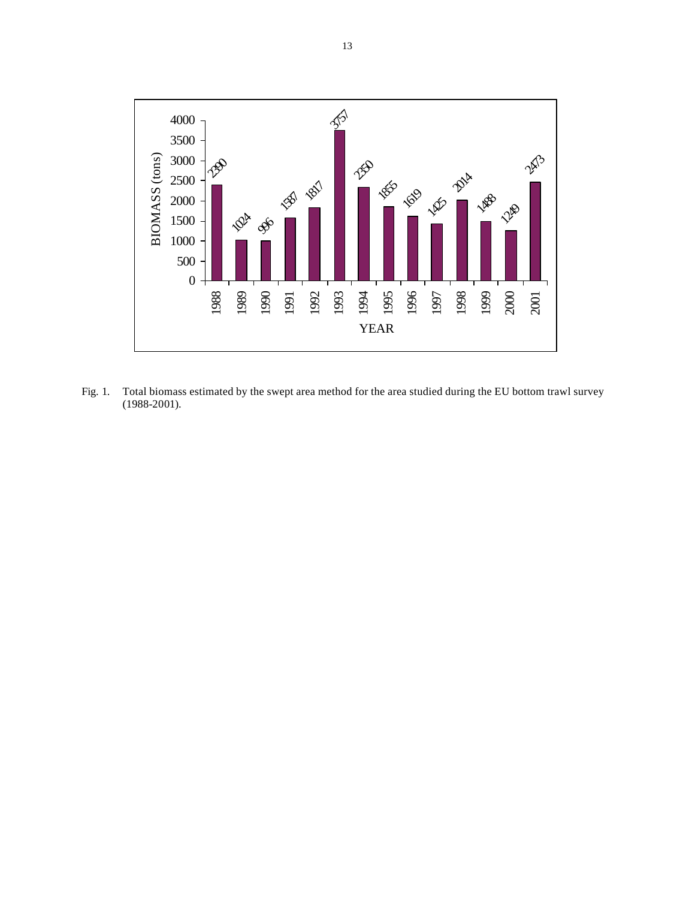

Fig. 1. Total biomass estimated by the swept area method for the area studied during the EU bottom trawl survey (1988-2001).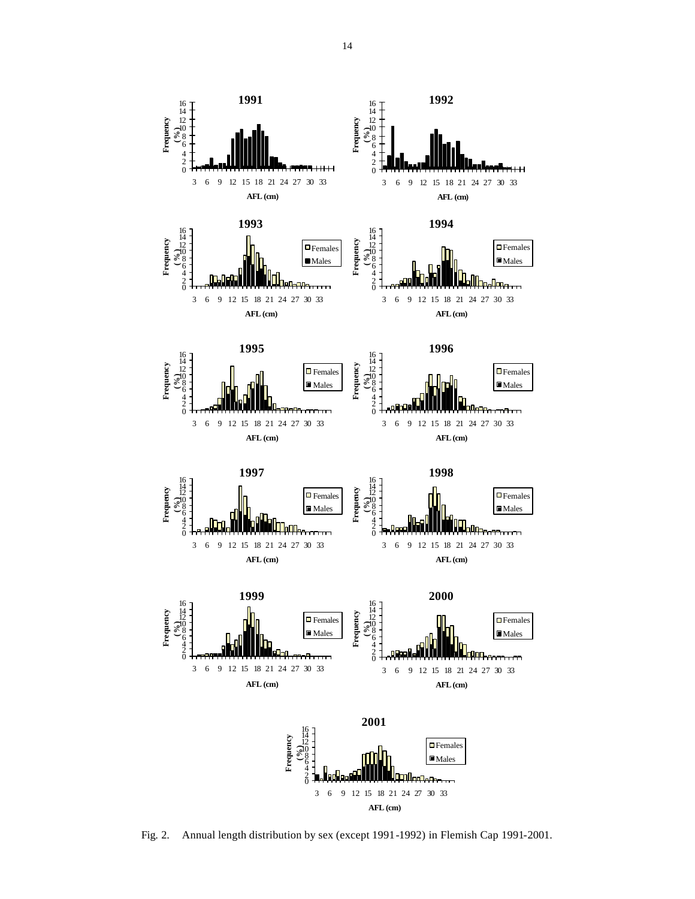

Fig. 2. Annual length distribution by sex (except 1991-1992) in Flemish Cap 1991-2001.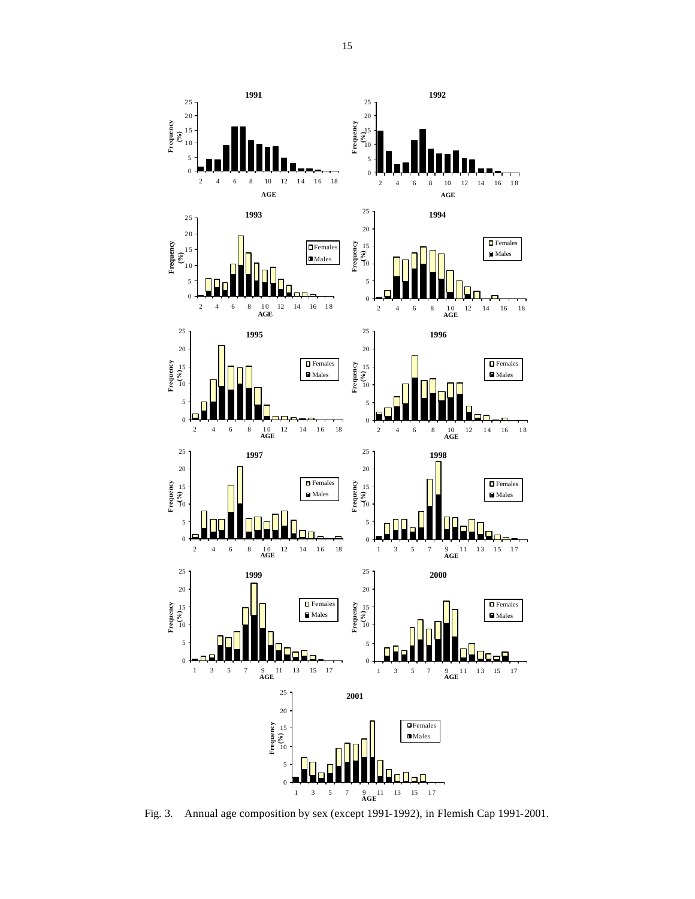

Fig. 3. Annual age composition by sex (except 1991-1992), in Flemish Cap 1991-2001.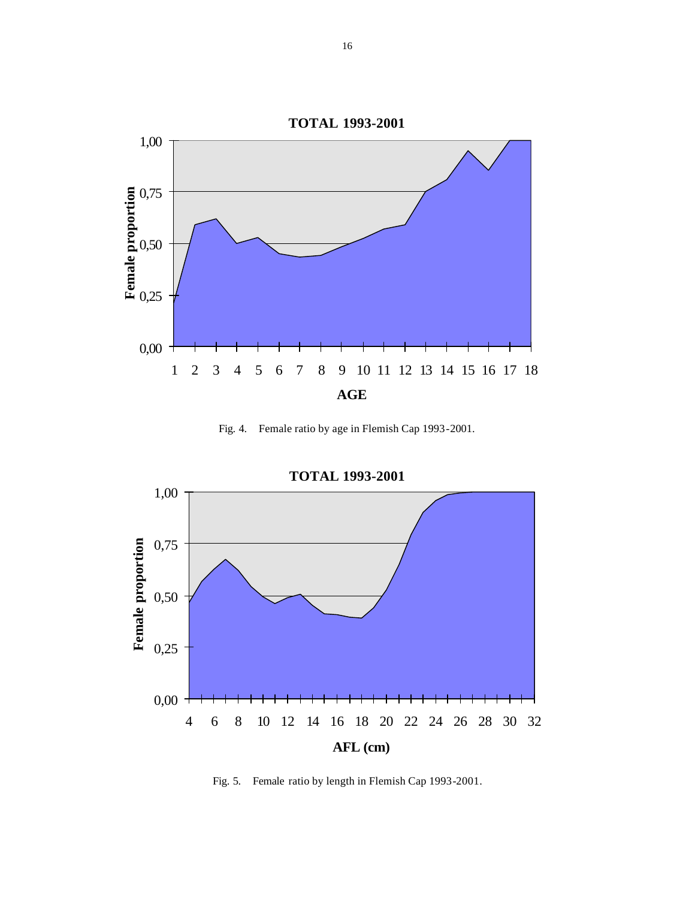

Fig. 4. Female ratio by age in Flemish Cap 1993-2001.



Fig. 5. Female ratio by length in Flemish Cap 1993-2001.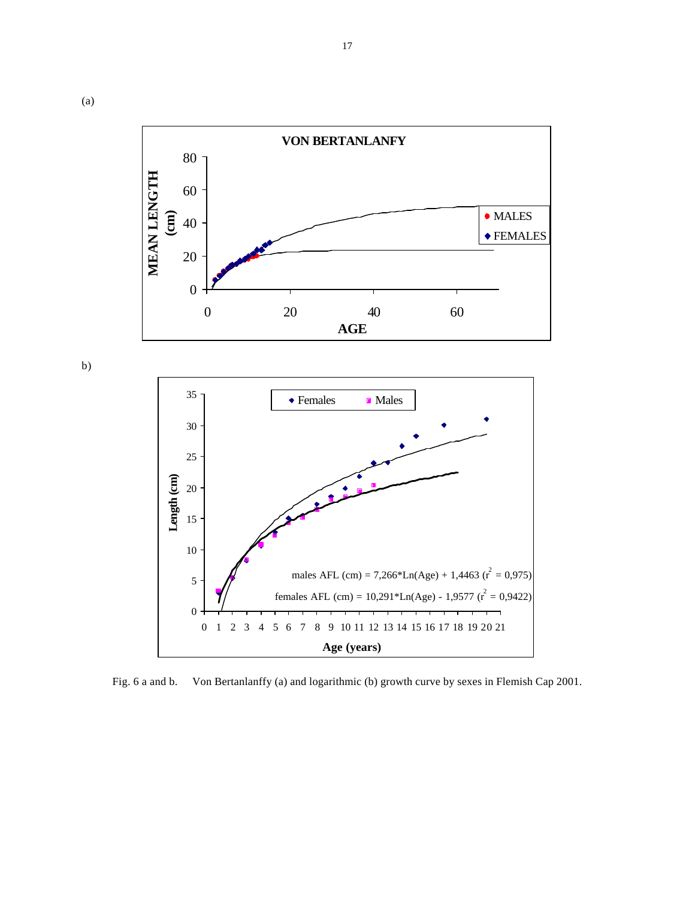

b)



Fig. 6 a and b. Von Bertanlanffy (a) and logarithmic (b) growth curve by sexes in Flemish Cap 2001.